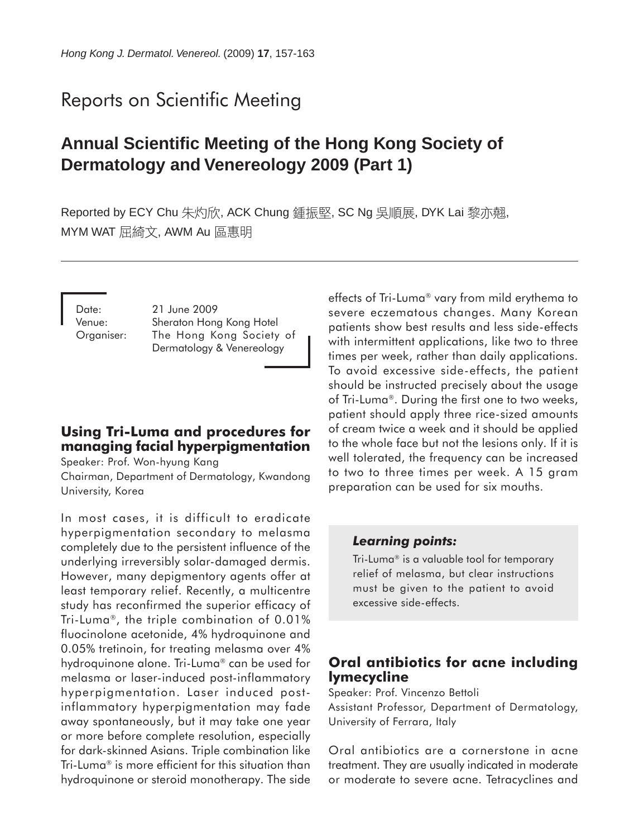# Reports on Scientific Meeting

# **Annual Scientific Meeting of the Hong Kong Society of Dermatology and Venereology 2009 (Part 1)**

Reported by ECY Chu 朱灼欣, ACK Chung 鍾振堅, SC Ng 吳順展, DYK Lai 黎亦翹, MYM WAT 屈綺文, AWM Au 區惠明

Date: 21 June 2009 Venue: Sheraton Hong Kong Hotel Organiser: The Hong Kong Society of Dermatology & Venereology

## **Using Tri-Luma and procedures for managing facial hyperpigmentation**

Speaker: Prof. Won-hyung Kang

Chairman, Department of Dermatology, Kwandong University, Korea

In most cases, it is difficult to eradicate hyperpigmentation secondary to melasma completely due to the persistent influence of the underlying irreversibly solar-damaged dermis. However, many depigmentory agents offer at least temporary relief. Recently, a multicentre study has reconfirmed the superior efficacy of Tri-Luma®, the triple combination of  $0.01\%$ fluocinolone acetonide, 4% hydroquinone and 0.05% tretinoin, for treating melasma over 4% hydroquinone alone. Tri-Luma<sup>®</sup> can be used for melasma or laser-induced post-inflammatory hyperpigmentation. Laser induced postinflammatory hyperpigmentation may fade away spontaneously, but it may take one year or more before complete resolution, especially for dark-skinned Asians. Triple combination like Tri-Luma<sup>®</sup> is more efficient for this situation than hydroquinone or steroid monotherapy. The side

effects of Tri-Luma<sup>®</sup> vary from mild erythema to severe eczematous changes. Many Korean patients show best results and less side-effects with intermittent applications, like two to three times per week, rather than daily applications. To avoid excessive side-effects, the patient should be instructed precisely about the usage of Tri-Luma<sup>®</sup>. During the first one to two weeks, patient should apply three rice-sized amounts of cream twice a week and it should be applied to the whole face but not the lesions only. If it is well tolerated, the frequency can be increased to two to three times per week. A 15 gram preparation can be used for six mouths.

#### *Learning points:*

Tri-Luma<sup>®</sup> is a valuable tool for temporary relief of melasma, but clear instructions must be given to the patient to avoid excessive side-effects.

#### **Oral antibiotics for acne including lymecycline**

Speaker: Prof. Vincenzo Bettoli Assistant Professor, Department of Dermatology, University of Ferrara, Italy

Oral antibiotics are a cornerstone in acne treatment. They are usually indicated in moderate or moderate to severe acne. Tetracyclines and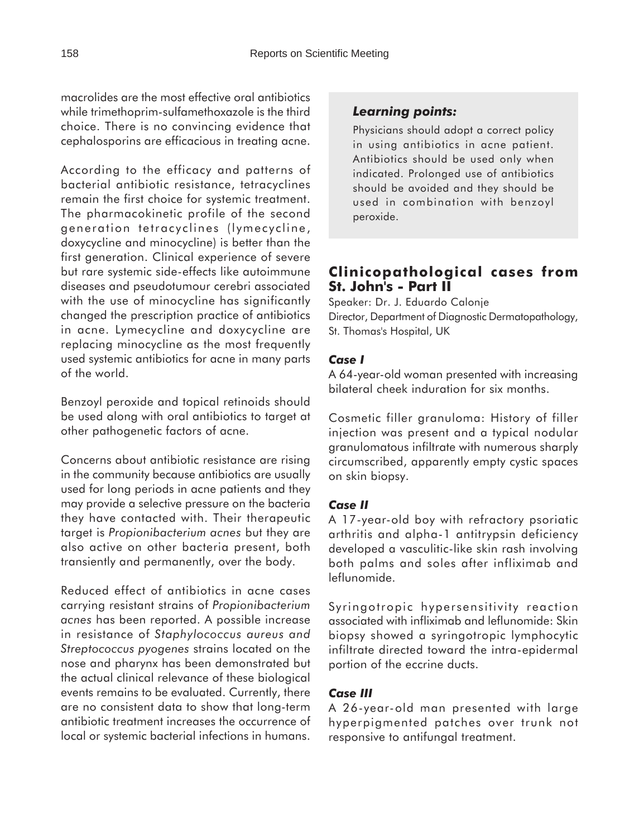macrolides are the most effective oral antibiotics while trimethoprim-sulfamethoxazole is the third choice. There is no convincing evidence that cephalosporins are efficacious in treating acne.

According to the efficacy and patterns of bacterial antibiotic resistance, tetracyclines remain the first choice for systemic treatment. The pharmacokinetic profile of the second generation tetracyclines (lymecycline, doxycycline and minocycline) is better than the first generation. Clinical experience of severe but rare systemic side-effects like autoimmune diseases and pseudotumour cerebri associated with the use of minocycline has significantly changed the prescription practice of antibiotics in acne. Lymecycline and doxycycline are replacing minocycline as the most frequently used systemic antibiotics for acne in many parts of the world.

Benzoyl peroxide and topical retinoids should be used along with oral antibiotics to target at other pathogenetic factors of acne.

Concerns about antibiotic resistance are rising in the community because antibiotics are usually used for long periods in acne patients and they may provide a selective pressure on the bacteria they have contacted with. Their therapeutic target is *Propionibacterium acnes* but they are also active on other bacteria present, both transiently and permanently, over the body.

Reduced effect of antibiotics in acne cases carrying resistant strains of *Propionibacterium acnes* has been reported. A possible increase in resistance of *Staphylococcus aureus and Streptococcus pyogenes* strains located on the nose and pharynx has been demonstrated but the actual clinical relevance of these biological events remains to be evaluated. Currently, there are no consistent data to show that long-term antibiotic treatment increases the occurrence of local or systemic bacterial infections in humans.

# *Learning points:*

Physicians should adopt a correct policy in using antibiotics in acne patient. Antibiotics should be used only when indicated. Prolonged use of antibiotics should be avoided and they should be used in combination with benzoyl peroxide.

# **Clinicopathological cases from St. John's - Part II**

Speaker: Dr. J. Eduardo Calonje Director, Department of Diagnostic Dermatopathology, St. Thomas's Hospital, UK

#### *Case I*

A 64-year-old woman presented with increasing bilateral cheek induration for six months.

Cosmetic filler granuloma: History of filler injection was present and a typical nodular granulomatous infiltrate with numerous sharply circumscribed, apparently empty cystic spaces on skin biopsy.

#### *Case II*

A 17-year-old boy with refractory psoriatic arthritis and alpha-1 antitrypsin deficiency developed a vasculitic-like skin rash involving both palms and soles after infliximab and leflunomide.

Syringotropic hypersensitivity reaction associated with infliximab and leflunomide: Skin biopsy showed a syringotropic lymphocytic infiltrate directed toward the intra-epidermal portion of the eccrine ducts.

#### *Case III*

A 26-year-old man presented with large hyperpigmented patches over trunk not responsive to antifungal treatment.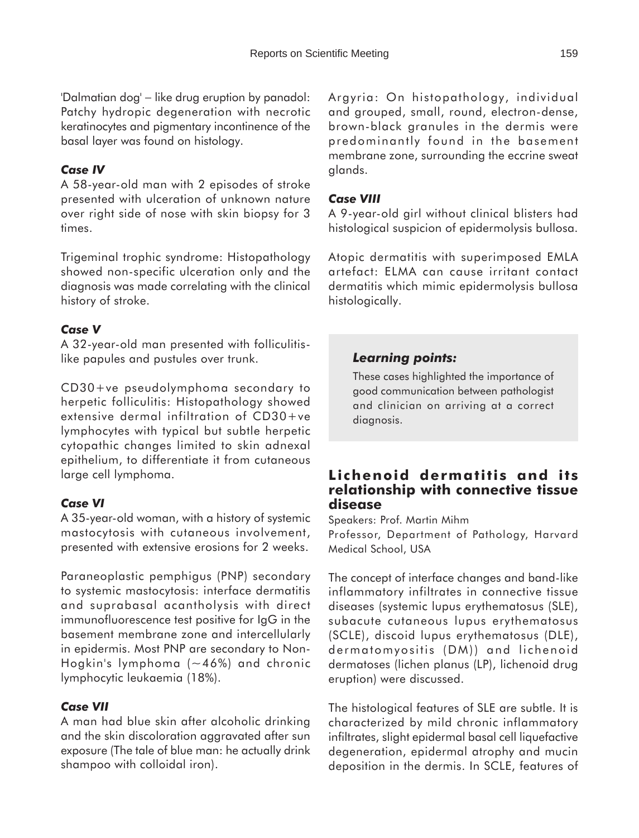'Dalmatian dog' − like drug eruption by panadol: Patchy hydropic degeneration with necrotic keratinocytes and pigmentary incontinence of the basal layer was found on histology.

#### *Case IV*

A 58-year-old man with 2 episodes of stroke presented with ulceration of unknown nature over right side of nose with skin biopsy for 3 times.

Trigeminal trophic syndrome: Histopathology showed non-specific ulceration only and the diagnosis was made correlating with the clinical history of stroke.

#### *Case V*

A 32-year-old man presented with folliculitislike papules and pustules over trunk.

CD30+ve pseudolymphoma secondary to herpetic folliculitis: Histopathology showed extensive dermal infiltration of CD30+ve lymphocytes with typical but subtle herpetic cytopathic changes limited to skin adnexal epithelium, to differentiate it from cutaneous large cell lymphoma.

#### *Case VI*

A 35-year-old woman, with a history of systemic mastocytosis with cutaneous involvement, presented with extensive erosions for 2 weeks.

Paraneoplastic pemphigus (PNP) secondary to systemic mastocytosis: interface dermatitis and suprabasal acantholysis with direct immunofluorescence test positive for IgG in the basement membrane zone and intercellularly in epidermis. Most PNP are secondary to Non-Hogkin's lymphoma  $(-46%)$  and chronic lymphocytic leukaemia (18%).

#### *Case VII*

A man had blue skin after alcoholic drinking and the skin discoloration aggravated after sun exposure (The tale of blue man: he actually drink shampoo with colloidal iron).

Argyria: On histopathology, individual and grouped, small, round, electron-dense, brown-black granules in the dermis were predominantly found in the basement membrane zone, surrounding the eccrine sweat glands.

#### *Case VIII*

A 9-year-old girl without clinical blisters had histological suspicion of epidermolysis bullosa.

Atopic dermatitis with superimposed EMLA artefact: ELMA can cause irritant contact dermatitis which mimic epidermolysis bullosa histologically.

# *Learning points:*

These cases highlighted the importance of good communication between pathologist and clinician on arriving at a correct diagnosis.

## **Lichenoid dermatitis and its relationship with connective tissue disease**

Speakers: Prof. Martin Mihm

Professor, Department of Pathology, Harvard Medical School, USA

The concept of interface changes and band-like inflammatory infiltrates in connective tissue diseases (systemic lupus erythematosus (SLE), subacute cutaneous lupus erythematosus (SCLE), discoid lupus erythematosus (DLE), dermatomyositis (DM)) and lichenoid dermatoses (lichen planus (LP), lichenoid drug eruption) were discussed.

The histological features of SLE are subtle. It is characterized by mild chronic inflammatory infiltrates, slight epidermal basal cell liquefactive degeneration, epidermal atrophy and mucin deposition in the dermis. In SCLE, features of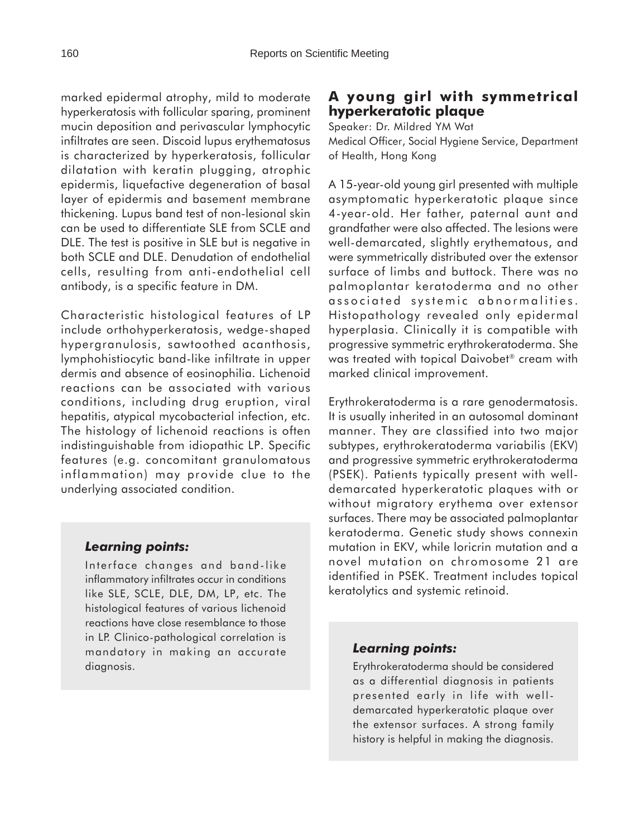marked epidermal atrophy, mild to moderate hyperkeratosis with follicular sparing, prominent mucin deposition and perivascular lymphocytic infiltrates are seen. Discoid lupus erythematosus is characterized by hyperkeratosis, follicular dilatation with keratin plugging, atrophic epidermis, liquefactive degeneration of basal layer of epidermis and basement membrane thickening. Lupus band test of non-lesional skin can be used to differentiate SLE from SCLE and DLE. The test is positive in SLE but is negative in both SCLE and DLE. Denudation of endothelial cells, resulting from anti-endothelial cell antibody, is a specific feature in DM.

Characteristic histological features of LP include orthohyperkeratosis, wedge-shaped hypergranulosis, sawtoothed acanthosis, lymphohistiocytic band-like infiltrate in upper dermis and absence of eosinophilia. Lichenoid reactions can be associated with various conditions, including drug eruption, viral hepatitis, atypical mycobacterial infection, etc. The histology of lichenoid reactions is often indistinguishable from idiopathic LP. Specific features (e.g. concomitant granulomatous inflammation) may provide clue to the underlying associated condition.

#### *Learning points:*

Interface changes and band-like inflammatory infiltrates occur in conditions like SLE, SCLE, DLE, DM, LP, etc. The histological features of various lichenoid reactions have close resemblance to those in LP. Clinico-pathological correlation is mandatory in making an accurate diagnosis.

# **A young girl with symmetrical hyperkeratotic plaque**

Speaker: Dr. Mildred YM Wat Medical Officer, Social Hygiene Service, Department of Health, Hong Kong

A 15-year-old young girl presented with multiple asymptomatic hyperkeratotic plaque since 4-year-old. Her father, paternal aunt and grandfather were also affected. The lesions were well-demarcated, slightly erythematous, and were symmetrically distributed over the extensor surface of limbs and buttock. There was no palmoplantar keratoderma and no other associated systemic abnormalities. Histopathology revealed only epidermal hyperplasia. Clinically it is compatible with progressive symmetric erythrokeratoderma. She was treated with topical Daivobet<sup>®</sup> cream with marked clinical improvement.

Erythrokeratoderma is a rare genodermatosis. It is usually inherited in an autosomal dominant manner. They are classified into two major subtypes, erythrokeratoderma variabilis (EKV) and progressive symmetric erythrokeratoderma (PSEK). Patients typically present with welldemarcated hyperkeratotic plaques with or without migratory erythema over extensor surfaces. There may be associated palmoplantar keratoderma. Genetic study shows connexin mutation in EKV, while loricrin mutation and a novel mutation on chromosome 21 are identified in PSEK. Treatment includes topical keratolytics and systemic retinoid.

#### *Learning points:*

Erythrokeratoderma should be considered as a differential diagnosis in patients presented early in life with welldemarcated hyperkeratotic plaque over the extensor surfaces. A strong family history is helpful in making the diagnosis.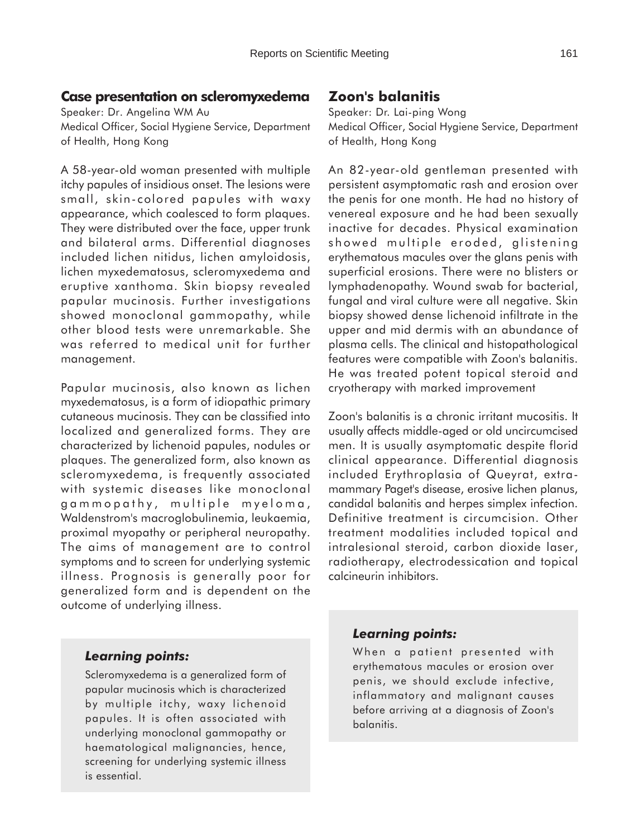## **Case presentation on scleromyxedema**

Speaker: Dr. Angelina WM Au Medical Officer, Social Hygiene Service, Department of Health, Hong Kong

A 58-year-old woman presented with multiple itchy papules of insidious onset. The lesions were small, skin-colored papules with waxy appearance, which coalesced to form plaques. They were distributed over the face, upper trunk and bilateral arms. Differential diagnoses included lichen nitidus, lichen amyloidosis, lichen myxedematosus, scleromyxedema and eruptive xanthoma. Skin biopsy revealed papular mucinosis. Further investigations showed monoclonal gammopathy, while other blood tests were unremarkable. She was referred to medical unit for further management.

Papular mucinosis, also known as lichen myxedematosus, is a form of idiopathic primary cutaneous mucinosis. They can be classified into localized and generalized forms. They are characterized by lichenoid papules, nodules or plaques. The generalized form, also known as scleromyxedema, is frequently associated with systemic diseases like monoclonal gammopathy, multiple myeloma, Waldenstrom's macroglobulinemia, leukaemia, proximal myopathy or peripheral neuropathy. The aims of management are to control symptoms and to screen for underlying systemic illness. Prognosis is generally poor for generalized form and is dependent on the outcome of underlying illness.

# **Zoon's balanitis**

Speaker: Dr. Lai-ping Wong Medical Officer, Social Hygiene Service, Department of Health, Hong Kong

An 82-year-old gentleman presented with persistent asymptomatic rash and erosion over the penis for one month. He had no history of venereal exposure and he had been sexually inactive for decades. Physical examination showed multiple eroded, glistening erythematous macules over the glans penis with superficial erosions. There were no blisters or lymphadenopathy. Wound swab for bacterial, fungal and viral culture were all negative. Skin biopsy showed dense lichenoid infiltrate in the upper and mid dermis with an abundance of plasma cells. The clinical and histopathological features were compatible with Zoon's balanitis. He was treated potent topical steroid and cryotherapy with marked improvement

Zoon's balanitis is a chronic irritant mucositis. It usually affects middle-aged or old uncircumcised men. It is usually asymptomatic despite florid clinical appearance. Differential diagnosis included Erythroplasia of Queyrat, extramammary Paget's disease, erosive lichen planus, candidal balanitis and herpes simplex infection. Definitive treatment is circumcision. Other treatment modalities included topical and intralesional steroid, carbon dioxide laser, radiotherapy, electrodessication and topical calcineurin inhibitors.

#### *Learning points:*

Scleromyxedema is a generalized form of papular mucinosis which is characterized by multiple itchy, waxy lichenoid papules. It is often associated with underlying monoclonal gammopathy or haematological malignancies, hence, screening for underlying systemic illness is essential.

#### *Learning points:*

When a patient presented with erythematous macules or erosion over penis, we should exclude infective, inflammatory and malignant causes before arriving at a diagnosis of Zoon's balanitis.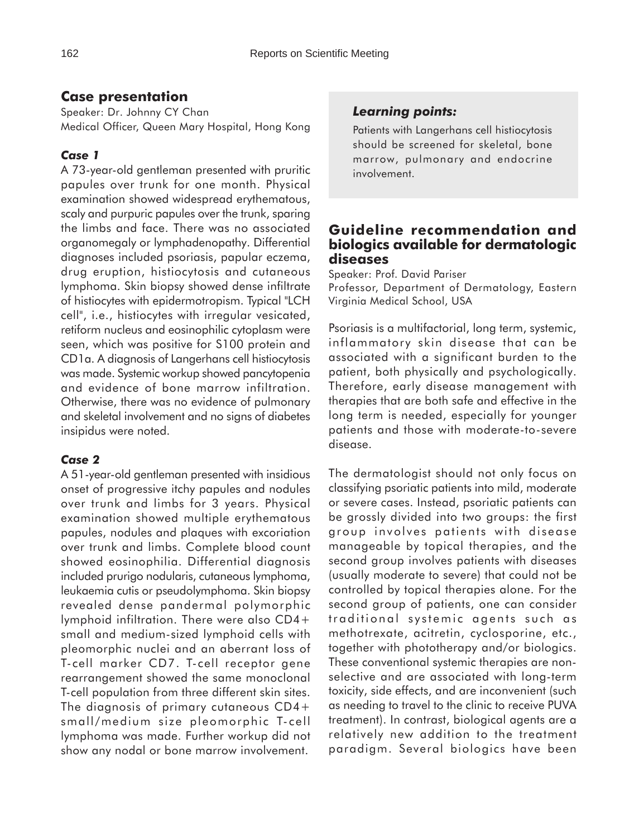# **Case presentation**

Speaker: Dr. Johnny CY Chan Medical Officer, Queen Mary Hospital, Hong Kong

# *Case 1*

A 73-year-old gentleman presented with pruritic papules over trunk for one month. Physical examination showed widespread erythematous, scaly and purpuric papules over the trunk, sparing the limbs and face. There was no associated organomegaly or lymphadenopathy. Differential diagnoses included psoriasis, papular eczema, drug eruption, histiocytosis and cutaneous lymphoma. Skin biopsy showed dense infiltrate of histiocytes with epidermotropism. Typical "LCH cell", i.e., histiocytes with irregular vesicated, retiform nucleus and eosinophilic cytoplasm were seen, which was positive for S100 protein and CD1a. A diagnosis of Langerhans cell histiocytosis was made. Systemic workup showed pancytopenia and evidence of bone marrow infiltration. Otherwise, there was no evidence of pulmonary and skeletal involvement and no signs of diabetes insipidus were noted.

# *Case 2*

A 51-year-old gentleman presented with insidious onset of progressive itchy papules and nodules over trunk and limbs for 3 years. Physical examination showed multiple erythematous papules, nodules and plaques with excoriation over trunk and limbs. Complete blood count showed eosinophilia. Differential diagnosis included prurigo nodularis, cutaneous lymphoma, leukaemia cutis or pseudolymphoma. Skin biopsy revealed dense pandermal polymorphic lymphoid infiltration. There were also CD4+ small and medium-sized lymphoid cells with pleomorphic nuclei and an aberrant loss of T-cell marker CD7. T-cell receptor gene rearrangement showed the same monoclonal T-cell population from three different skin sites. The diagnosis of primary cutaneous CD4+ small/medium size pleomorphic T-cell lymphoma was made. Further workup did not show any nodal or bone marrow involvement.

# *Learning points:*

Patients with Langerhans cell histiocytosis should be screened for skeletal, bone marrow, pulmonary and endocrine involvement.

## **Guideline recommendation and biologics available for dermatologic diseases**

Speaker: Prof. David Pariser Professor, Department of Dermatology, Eastern Virginia Medical School, USA

Psoriasis is a multifactorial, long term, systemic, inflammatory skin disease that can be associated with a significant burden to the patient, both physically and psychologically. Therefore, early disease management with therapies that are both safe and effective in the long term is needed, especially for younger patients and those with moderate-to-severe disease.

The dermatologist should not only focus on classifying psoriatic patients into mild, moderate or severe cases. Instead, psoriatic patients can be grossly divided into two groups: the first group involves patients with disease manageable by topical therapies, and the second group involves patients with diseases (usually moderate to severe) that could not be controlled by topical therapies alone. For the second group of patients, one can consider traditional systemic agents such as methotrexate, acitretin, cyclosporine, etc., together with phototherapy and/or biologics. These conventional systemic therapies are nonselective and are associated with long-term toxicity, side effects, and are inconvenient (such as needing to travel to the clinic to receive PUVA treatment). In contrast, biological agents are a relatively new addition to the treatment paradigm. Several biologics have been